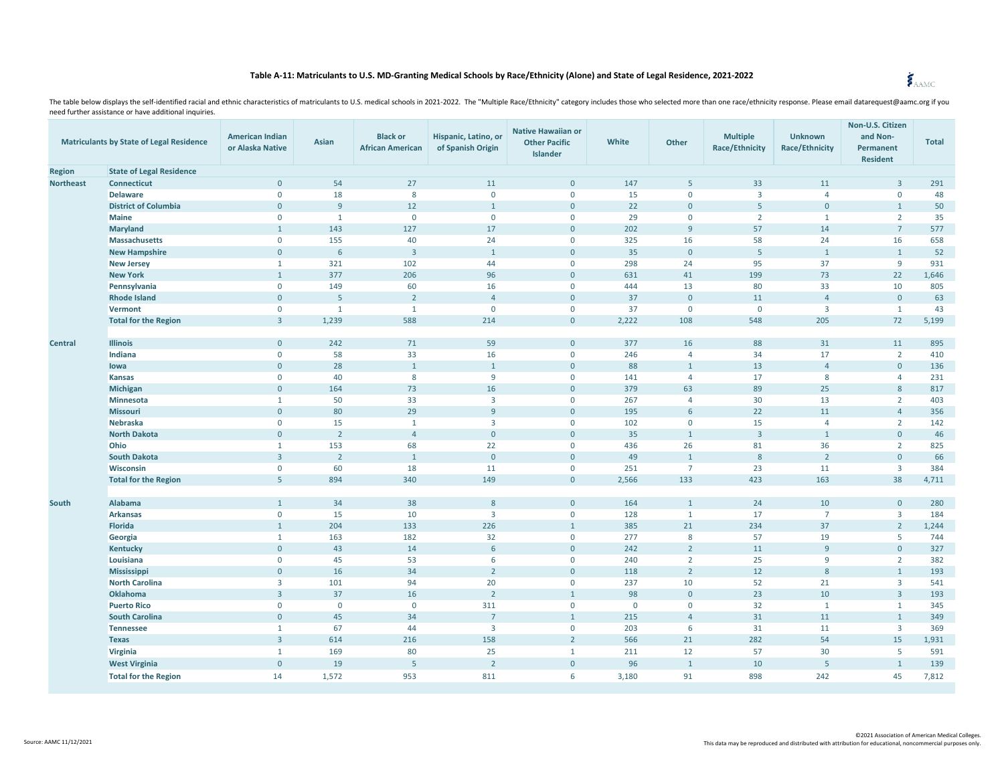## **Table A-11: Matriculants to U.S. MD-Granting Medical Schools by Race/Ethnicity (Alone) and State of Legal Residence, 2021-2022**

| <b>Matriculants by State of Legal Residence</b> |                                          | <b>American Indian</b><br>or Alaska Native | Asian          | <b>Black or</b><br><b>African American</b> | Hispanic, Latino, or<br>of Spanish Origin | <b>Native Hawaiian or</b><br><b>Other Pacific</b><br><b>Islander</b> | White        | Other              | <b>Multiple</b><br><b>Race/Ethnicity</b> | <b>Unknown</b><br><b>Race/Ethnicity</b> | Non-U.S. Citizen<br>and Non-<br>Permanent<br><b>Resident</b> | <b>Total</b> |
|-------------------------------------------------|------------------------------------------|--------------------------------------------|----------------|--------------------------------------------|-------------------------------------------|----------------------------------------------------------------------|--------------|--------------------|------------------------------------------|-----------------------------------------|--------------------------------------------------------------|--------------|
| <b>Region</b>                                   | <b>State of Legal Residence</b>          |                                            |                |                                            |                                           |                                                                      |              |                    |                                          |                                         |                                                              |              |
| <b>Northeast</b>                                | <b>Connecticut</b>                       | $\mathbf{0}$                               | 54             | 27                                         | 11                                        | $\mathbf{0}$                                                         | 147          | $5\phantom{.}$     | 33                                       | 11                                      | $\overline{3}$                                               | 291          |
|                                                 | <b>Delaware</b>                          | $\mathbf 0$                                | 18             | 8                                          | $\mathbf 0$                               | $\mathbf 0$                                                          | 15           | $\mathbf 0$        | $\overline{\mathbf{3}}$                  | $\overline{4}$                          | $\mathbf 0$                                                  | 48           |
|                                                 | <b>District of Columbia</b>              | $\mathbf{0}$                               | 9              | 12                                         | $\mathbf{1}$                              | $\overline{0}$                                                       | 22           | $\mathbf 0$        | 5                                        | $\mathbf 0$                             | $\mathbf{1}$                                                 | 50           |
|                                                 | <b>Maine</b>                             | $\mathbf{0}$                               | $\mathbf{1}$   | $\mathbf 0$                                | $\mathbf{0}$                              | $\mathbf{0}$                                                         | 29           | $\mathbf{0}$       | $\overline{2}$                           | $\mathbf{1}$                            | $\overline{2}$                                               | 35           |
|                                                 | <b>Maryland</b>                          | $\mathbf{1}$                               | 143            | 127                                        | 17                                        | $\overline{0}$                                                       | 202          | 9                  | 57                                       | 14                                      | 7                                                            | 577          |
|                                                 | <b>Massachusetts</b>                     | $\mathsf{O}$                               | 155            | 40                                         | 24                                        | $\mathsf{O}$                                                         | 325          | 16                 | 58                                       | 24                                      | 16                                                           | 658          |
|                                                 | <b>New Hampshire</b>                     | $\mathbf{0}$<br><sup>1</sup>               | 6<br>321       | $\overline{3}$<br>102                      | $\mathbf{1}$<br>44                        | $\mathbf{0}$<br>$\mathbf 0$                                          | 35<br>298    | $\mathbf{0}$       | 5<br>95                                  | $\mathbf{1}$<br>37                      | $\mathbf{1}$<br>9                                            | 52<br>931    |
|                                                 | <b>New Jersey</b><br><b>New York</b>     | $\mathbf{1}$                               | 377            | 206                                        | 96                                        | $\mathbf{0}$                                                         | 631          | 24<br>41           | 199                                      | 73                                      | 22                                                           | 1,646        |
|                                                 | Pennsylvania                             | $\mathbf 0$                                | 149            | 60                                         | 16                                        | $\mathbf 0$                                                          | 444          | 13                 | 80                                       | 33                                      | 10                                                           | 805          |
|                                                 | <b>Rhode Island</b>                      | $\mathbf{0}$                               | 5              | $\overline{2}$                             | $\overline{4}$                            | $\mathbf{0}$                                                         | 37           | $\mathbf{0}$       | 11                                       | $\overline{4}$                          | $\mathbf 0$                                                  | 63           |
|                                                 | Vermont                                  | $\mathbf 0$                                | $\mathbf{1}$   | $\mathbf{1}$                               | $\mathbf 0$                               | $\mathbf 0$                                                          | 37           | $\mathbf 0$        | $\mathbf 0$                              | $\overline{\mathbf{3}}$                 | $\mathbf{1}$                                                 | 43           |
|                                                 | <b>Total for the Region</b>              | $\overline{3}$                             | 1,239          | 588                                        | 214                                       | $\overline{0}$                                                       | 2,222        | 108                | 548                                      | 205                                     | 72                                                           | 5,199        |
| <b>Central</b>                                  | <b>Illinois</b>                          | $\mathbf{0}$                               | 242            | 71                                         | 59                                        | $\mathbf{0}$                                                         | 377          | 16                 | 88                                       | 31                                      | 11                                                           | 895          |
|                                                 | Indiana                                  | $\mathbf 0$                                | 58             | 33                                         | 16                                        | $\mathbf 0$                                                          | 246          | $\overline{4}$     | 34                                       | 17                                      | $\overline{2}$                                               | 410          |
|                                                 | lowa                                     | $\mathbf{0}$                               | 28             | $\mathbf{1}$                               | $\mathbf{1}$                              | $\mathbf{0}$                                                         | 88           | $\mathbf{1}$       | 13                                       | $\overline{4}$                          | $\mathbf{0}$                                                 | 136          |
|                                                 | <b>Kansas</b>                            | $\mathbf 0$                                | 40             | 8                                          | 9                                         | $\mathbf 0$                                                          | 141          | $\overline{4}$     | 17                                       | 8                                       | $\overline{4}$                                               | 231          |
|                                                 | Michigan                                 | $\mathbf{0}$                               | 164            | 73                                         | 16                                        | $\mathbf{0}$                                                         | 379          | 63                 | 89                                       | 25                                      | 8                                                            | 817          |
|                                                 | Minnesota                                | $\mathbf{1}$                               | 50             | 33                                         | $\overline{3}$                            | $\mathsf{O}$                                                         | 267          | $\overline{4}$     | 30                                       | 13                                      | $\overline{2}$                                               | 403          |
|                                                 | <b>Missouri</b>                          | $\mathbf{0}$                               | 80             | 29                                         | $\mathbf{g}$                              | $\overline{0}$                                                       | 195          | 6                  | 22                                       | 11                                      | $\overline{4}$                                               | 356          |
|                                                 | Nebraska                                 | $\mathbf{0}$                               | 15             | $\mathbf{1}$                               | $\overline{3}$                            | $\mathbf 0$                                                          | 102          | $\mathbf 0$        | 15                                       | $\overline{4}$                          | $\overline{2}$                                               | 142          |
|                                                 | <b>North Dakota</b>                      | $\overline{0}$                             | $\overline{2}$ | $\overline{4}$                             | $\mathbf 0$                               | $\mathbf{0}$                                                         | 35           | $\mathbf{1}$       | $\overline{3}$                           | $\mathbf 1$                             | $\mathbf{0}$                                                 | 46           |
|                                                 | Ohio                                     | $\mathbf{1}$                               | 153            | 68                                         | 22                                        | $\mathsf 0$                                                          | 436          | 26                 | 81                                       | 36                                      | $\overline{2}$                                               | 825          |
|                                                 | <b>South Dakota</b>                      | $\overline{3}$                             | $\overline{2}$ | $\mathbf{1}$                               | $\mathbf{0}$                              | $\mathbf{0}$                                                         | 49           | $\mathbf{1}$       | 8                                        | $\overline{2}$                          | $\mathbf{0}$                                                 | 66           |
|                                                 | Wisconsin                                | $\mathbf 0$                                | 60             | 18                                         | 11                                        | $\mathbf 0$                                                          | 251          | $\overline{7}$     | 23                                       | 11                                      | $\overline{\mathbf{3}}$                                      | 384          |
|                                                 | <b>Total for the Region</b>              | 5                                          | 894            | 340                                        | 149                                       | $\overline{0}$                                                       | 2,566        | 133                | 423                                      | 163                                     | 38                                                           | 4,711        |
| South                                           | Alabama                                  | $\mathbf{1}$                               | 34             | 38                                         | 8                                         | $\mathbf{0}$                                                         | 164          | $\mathbf{1}$       | 24                                       | 10                                      | $\mathbf{0}$                                                 | 280          |
|                                                 | <b>Arkansas</b>                          | $\mathsf{O}$                               | 15             | 10                                         | $\overline{3}$                            | $\mathbf 0$                                                          | 128          | $\mathbf{1}$       | 17                                       | $\overline{7}$                          | $\overline{\mathbf{3}}$                                      | 184          |
|                                                 | <b>Florida</b>                           | $\mathbf{1}$                               | 204            | 133                                        | 226                                       | $1\,$                                                                | 385          | 21                 | 234                                      | 37                                      | $\overline{2}$                                               | 1,244        |
|                                                 | Georgia                                  | $\mathbf{1}$                               | 163            | 182                                        | 32                                        | $\mathbf 0$                                                          | 277          | 8                  | 57                                       | 19                                      | 5                                                            | 744          |
|                                                 | <b>Kentucky</b>                          | $\mathbf{0}$                               | 43             | 14                                         | 6                                         | $\mathbf{0}$                                                         | 242          | $\overline{2}$     | 11                                       | $\overline{9}$                          | $\mathbf{0}$                                                 | 327          |
|                                                 | Louisiana                                | $\mathbf 0$                                | 45             | 53                                         | 6                                         | $\mathsf{O}$                                                         | 240          | $\overline{2}$     | 25                                       | 9                                       | $\overline{2}$                                               | 382          |
|                                                 | Mississippi                              | $\mathbf{0}$                               | 16             | 34                                         | $\overline{2}$                            | $\mathbf{0}$                                                         | 118          | $\overline{2}$     | 12                                       | $8\phantom{1}$                          | $\mathbf{1}$                                                 | 193          |
|                                                 | <b>North Carolina</b><br><b>Oklahoma</b> | $\overline{3}$<br>$\overline{3}$           | 101<br>37      | 94<br>16                                   | 20<br>$\overline{2}$                      | $\mathsf{O}$<br>$\overline{1}$                                       | 237<br>98    | 10<br>$\mathbf{0}$ | 52<br>23                                 | 21<br>10                                | $\overline{\mathbf{3}}$<br>$\overline{\mathbf{3}}$           | 541<br>193   |
|                                                 | <b>Puerto Rico</b>                       | $\mathbf{0}$                               | $\mathbf{0}$   | $\mathbf 0$                                | 311                                       | $\mathbf{0}$                                                         | $\mathbf{0}$ | $\mathbf{0}$       | 32                                       | $\mathbf{1}$                            | $\mathbf{1}$                                                 | 345          |
|                                                 | <b>South Carolina</b>                    | $\mathbf{0}$                               | 45             | 34                                         | $\overline{7}$                            | $1\,$                                                                | 215          | $\overline{4}$     | 31                                       | 11                                      | $\mathbf{1}$                                                 | 349          |
|                                                 | <b>Tennessee</b>                         | $\mathbf{1}$                               | 67             | 44                                         | $\overline{3}$                            | $\mathbf 0$                                                          | 203          | 6                  | 31                                       | 11                                      | $\overline{3}$                                               | 369          |
|                                                 | <b>Texas</b>                             | $\overline{3}$                             | 614            | 216                                        | 158                                       | $\overline{2}$                                                       | 566          | 21                 | 282                                      | 54                                      | 15                                                           | 1,931        |
|                                                 | Virginia                                 | $\mathbf{1}$                               | 169            | 80                                         | 25                                        | $\mathbf{1}$                                                         | 211          | 12                 | 57                                       | 30                                      | 5                                                            | 591          |
|                                                 | <b>West Virginia</b>                     | $\mathbf 0$                                | 19             | 5                                          | $\overline{2}$                            | $\mathbf{0}$                                                         | 96           | $1\,$              | 10                                       | 5                                       | $\mathbf 1$                                                  | 139          |
|                                                 | <b>Total for the Region</b>              | 14                                         | 1,572          | 953                                        | 811                                       | 6                                                                    | 3,180        | 91                 | 898                                      | 242                                     | 45                                                           | 7,812        |
|                                                 |                                          |                                            |                |                                            |                                           |                                                                      |              |                    |                                          |                                         |                                                              |              |

 $\ddot{\bm{\xi}}_{\mathrm{AAMC}}$